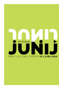# 10<sup>th</sup> festival FREE CULTURAL EVENTS IN LJUBLJANA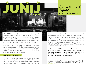

### *Kongresni Trg Square* 8th to 21st June 2018

*The* JUNE *in Ljubljana Festival is celebrating its 10th anniversary and invites you once again to the city centre of Ljubljana, to the Kongresni Trg square to enjoy the exquisite artistic creations of dance, theatre and music. The festival programme features children's events in the mornings and afternoons, and prestigious artistic events in the evenings.* 

*Over 14 days, the festival will present more than 30 different cultural events and feature six themed days: Ballet Day (Baletni dan), Day to Rock (Dan za rock) (charities), Dancing Day (Dan za ples), Improv Day (Impro dan), Circus Day (Cirkuški dan) and World Music day (Praznik glasbe).*

#### *All events are free-of-charge.*

*The June in Ljubljana Festival was first organised at the Prešernov Trg square in 2009. The introductory ballet performance of the Swan Lake by Peter Ilich Tchaikovsky and the Slovenian National Theatre Opera and Ballet Ljubljana (SNG Opera in* 

*balet Ljubljana), made an impression under the clear skies of Ljubljana and was very well accepted by locals and tourists. We would like for you to experience this magnificent ballet performance once again on our 10th anniversary, this time at the Kongresni Trg square and in collaboration with the dancers of the Slovenian National Theatre Opera and Ballet Maribor. They will be joined by the renowned Russian soloists, Anastasiya Matvienko and Ernest Latypov.*

*Ljubljana, the UNESCO's City of Literature, and the member of the UNESCO Creative Cities Network (UCCN) invites you to the Library under the Treetops (Knjižnica pod krošnjami) at Zvezda Park throughout the festival. We invite the book lovers to join us at the events of art and literature.*

We reserve the right to change the programme. Detailed information on any changes are available at the Ljubljana Information and Tourist Centre. Telephone: +386 (1) 306 12 15. In case you need information or have any type of inquiry, please contact us at **[junij@ljubljana.si](mailto:junij@ljubljana.si)**.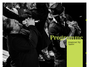## **Programme**

*Kongresni Trg Square*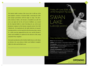*The timeless ballet creation of the Swan Lake is still one of the most popular creations of classical ballet, connecting the older and younger generations with the magic on stage. The fairytale of princess Odette, who becomes a beautiful swan after the curse cast upon her by the evil sorcerer Rothbart, was created for the Imperial Ballet in Saint Petersburg by one of the most prominent composers of the Russian romantic period, Peter Ilich Tchaikovsky. The inspiration for the ballet depiction of romantic yearning and love was the tragic life of the Bavarian King, Ludwig II. A white swan has supposedly been his crest, and his dreamer's nature and sensibility are captured in the character of the young and fickle Prince Siegfried.*

*The modern production of the Maribor Ballet focuses on the theme of division: the swan princess Odette and Rothbart's daughter Odile, the white and the black swan.*

(This performance has a break between the second and third act.)

Friday, 8<sup>th</sup> June 2018, at 2100 at the Kongresni Trg square

SWAN LAKE (Labodje jezero)

#### A Fairy-Tale Ballet in Four Acts

**Music:** Peter Ilich Tchaikovsky **Libretto:** Vladimir Begičev, Vasilij Geltser, Modest Čajkovski **Choreography:** Valerij Kovtun after Marius Petipa and Lev Ivanov **Set Designer and Costume Designer:** Marija Levicka **Lighting Designer:** Tomaž Premzl **Assistant Choreographers:** Alenka Ribič, Irena Pasarić **Production:** Slovene National Theatre Maribor with Imago Sloveniae – Podoba Slovenije